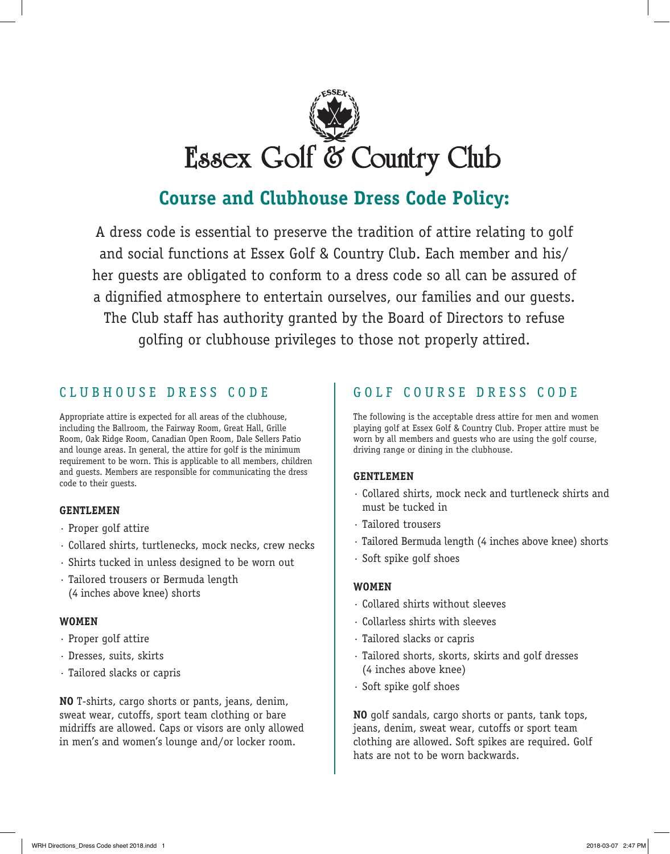

## **Course and Clubhouse Dress Code Policy:**

A dress code is essential to preserve the tradition of attire relating to golf and social functions at Essex Golf & Country Club. Each member and his/ her guests are obligated to conform to a dress code so all can be assured of a dignified atmosphere to entertain ourselves, our families and our guests. The Club staff has authority granted by the Board of Directors to refuse golfing or clubhouse privileges to those not properly attired.

## CLUBHOUSE DRESS CODE

Appropriate attire is expected for all areas of the clubhouse, including the Ballroom, the Fairway Room, Great Hall, Grille Room, Oak Ridge Room, Canadian Open Room, Dale Sellers Patio and lounge areas. In general, the attire for golf is the minimum requirement to be worn. This is applicable to all members, children and guests. Members are responsible for communicating the dress code to their guests.

### **GENTLEMEN**

- · Proper golf attire
- · Collared shirts, turtlenecks, mock necks, crew necks
- · Shirts tucked in unless designed to be worn out
- · Tailored trousers or Bermuda length (4 inches above knee) shorts

### **WOMEN**

- · Proper golf attire
- · Dresses, suits, skirts
- · Tailored slacks or capris

**NO** T-shirts, cargo shorts or pants, jeans, denim, sweat wear, cutoffs, sport team clothing or bare midriffs are allowed. Caps or visors are only allowed in men's and women's lounge and/or locker room.

## GOLF COURSE DRESS CODE

The following is the acceptable dress attire for men and women playing golf at Essex Golf & Country Club. Proper attire must be worn by all members and guests who are using the golf course, driving range or dining in the clubhouse.

### **GENTLEMEN**

- · Collared shirts, mock neck and turtleneck shirts and must be tucked in
- · Tailored trousers
- · Tailored Bermuda length (4 inches above knee) shorts
- · Soft spike golf shoes

### **WOMEN**

- · Collared shirts without sleeves
- · Collarless shirts with sleeves
- · Tailored slacks or capris
- · Tailored shorts, skorts, skirts and golf dresses (4 inches above knee)
- · Soft spike golf shoes

**NO** golf sandals, cargo shorts or pants, tank tops, jeans, denim, sweat wear, cutoffs or sport team clothing are allowed. Soft spikes are required. Golf hats are not to be worn backwards.